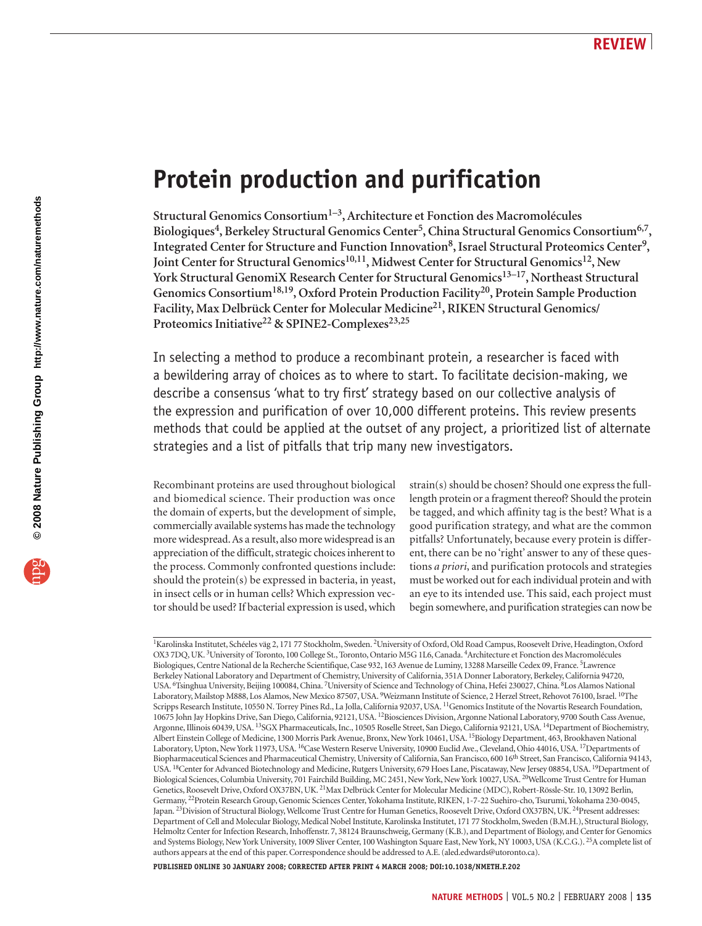# **Protein production and purification**

**Structural Genomics Consortium1–3, Architecture et Fonction des Macromolécules Biologiques4, Berkeley Structural Genomics Center5, China Structural Genomics Consortium6,7,**  Integrated Center for Structure and Function Innovation<sup>8</sup>, Israel Structural Proteomics Center<sup>9</sup>, Joint Center for Structural Genomics<sup>10,11</sup>, Midwest Center for Structural Genomics<sup>12</sup>, New York Structural GenomiX Research Center for Structural Genomics<sup>13-17</sup>, Northeast Structural Genomics Consortium<sup>18,19</sup>, Oxford Protein Production Facility<sup>20</sup>, Protein Sample Production **Facility, Max Delbrück Center for Molecular Medicine21, RIKEN Structural Genomics/** Proteomics Initiative<sup>22</sup> & SPINE2-Complexes<sup>23,25</sup>

In selecting a method to produce a recombinant protein, a researcher is faced with a bewildering array of choices as to where to start. To facilitate decision-making, we describe a consensus 'what to try first' strategy based on our collective analysis of the expression and purification of over 10,000 different proteins. This review presents methods that could be applied at the outset of any project, a prioritized list of alternate strategies and a list of pitfalls that trip many new investigators.

Recombinant proteins are used throughout biological and biomedical science. Their production was once the domain of experts, but the development of simple, commercially available systems has made the technology more widespread. As a result, also more widespread is an appreciation of the difficult, strategic choices inherent to the process. Commonly confronted questions include: should the protein(s) be expressed in bacteria, in yeast, in insect cells or in human cells? Which expression vector should be used? If bacterial expression is used, which strain(s) should be chosen? Should one express the fulllength protein or a fragment thereof? Should the protein be tagged, and which affinity tag is the best? What is a good purification strategy, and what are the common pitfalls? Unfortunately, because every protein is different, there can be no 'right' answer to any of these questions *a priori*, and purification protocols and strategies must be worked out for each individual protein and with an eye to its intended use. This said, each project must begin somewhere, and purification strategies can now be

**PUBLISHED ONLINE 30 JANUARY 2008; CORRECTED AFTER PRINT 4 MARCH 2008; DOI:[10.1038/NMETH.F.2](http://www.nature.com/doifinder/10.1038/nmeth.f.202)02**

<sup>&</sup>lt;sup>1</sup>Karolinska Institutet, Schéeles väg 2, 171 77 Stockholm, Sweden. <sup>2</sup>University of Oxford, Old Road Campus, Roosevelt Drive, Headington, Oxford OX3 7DQ, UK. 3University of Toronto, 100 College St., Toronto, Ontario M5G 1L6, Canada. 4Architecture et Fonction des Macromolécules Biologiques, Centre National de la Recherche Scientifique, Case 932, 163 Avenue de Luminy, 13288 Marseille Cedex 09, France. 5Lawrence Berkeley National Laboratory and Department of Chemistry, University of California, 351A Donner Laboratory, Berkeley, California 94720, USA. 6Tsinghua University, Beijing 100084, China. 7University of Science and Technology of China, Hefei 230027, China. 8Los Alamos National Laboratory, Mailstop M888, Los Alamos, New Mexico 87507, USA. 9Weizmann Institute of Science, 2 Herzel Street, Rehovot 76100, Israel. 10The Scripps Research Institute, 10550 N. Torrey Pines Rd., La Jolla, California 92037, USA. <sup>11</sup>Genomics Institute of the Novartis Research Foundation, 10675 John Jay Hopkins Drive, San Diego, California, 92121, USA. 12Biosciences Division, Argonne National Laboratory, 9700 South Cass Avenue, Argonne, Illinois 60439, USA. 13SGX Pharmaceuticals, Inc., 10505 Roselle Street, San Diego, California 92121, USA. 14Department of Biochemistry, Albert Einstein College of Medicine, 1300 Morris Park Avenue, Bronx, New York 10461, USA. 15Biology Department, 463, Brookhaven National Laboratory, Upton, New York 11973, USA. <sup>16</sup>Case Western Reserve University, 10900 Euclid Ave., Cleveland, Ohio 44016, USA. <sup>17</sup>Departments of Biopharmaceutical Sciences and Pharmaceutical Chemistry, University of California, San Francisco, 600 16<sup>th</sup> Street, San Francisco, California 94143, USA. 18Center for Advanced Biotechnology and Medicine, Rutgers University, 679 Hoes Lane, Piscataway, New Jersey 08854, USA. 19Department of Biological Sciences, Columbia University, 701 Fairchild Building, MC 2451, New York, New York 10027, USA. 20Wellcome Trust Centre for Human Genetics, Roosevelt Drive, Oxford OX37BN, UK. 21Max Delbrück Center for Molecular Medicine (MDC), Robert-Rössle-Str. 10, 13092 Berlin, Germany, 22Protein Research Group, Genomic Sciences Center, Yokohama Institute, RIKEN, 1-7-22 Suehiro-cho, Tsurumi, Yokohama 230-0045, Japan. <sup>23</sup>Division of Structural Biology, Wellcome Trust Centre for Human Genetics, Roosevelt Drive, Oxford OX37BN, UK. <sup>24</sup>Present addresses: Department of Cell and Molecular Biology, Medical Nobel Institute, Karolinska Institutet, 171 77 Stockholm, Sweden (B.M.H.), Structural Biology, Helmoltz Center for Infection Research, Inhoffenstr. 7, 38124 Braunschweig, Germany (K.B.), and Department of Biology, and Center for Genomics and Systems Biology, New York University, 1009 Sliver Center, 100 Washington Square East, New York, NY 10003, USA (K.C.G.). 25A complete list of authors appears at the end of this paper. Correspondence should be addressed to A.E. [\(aled.edwards@utoronto.ca\)](mailto:aled.edwards@utoronto.ca).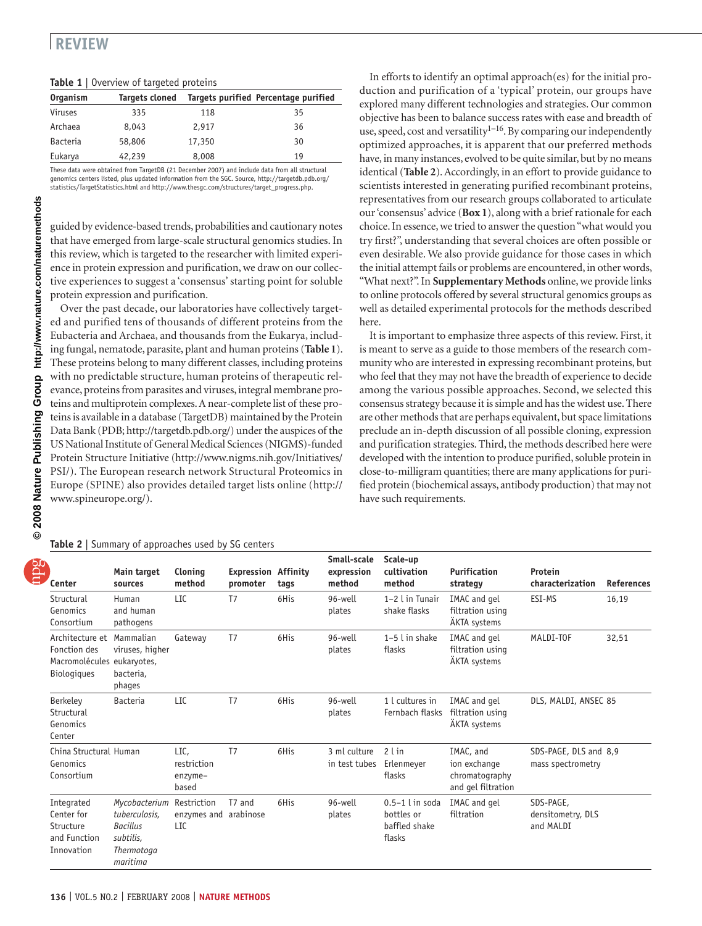|  |  | Table 1   Overview of targeted proteins |  |
|--|--|-----------------------------------------|--|
|--|--|-----------------------------------------|--|

| Organism | <b>Targets cloned</b> |        | Targets purified Percentage purified |
|----------|-----------------------|--------|--------------------------------------|
| Viruses  | 335                   | 118    | 35                                   |
| Archaea  | 8,043                 | 2,917  | 36                                   |
| Bacteria | 58,806                | 17,350 | 30                                   |
| Eukarya  | 42,239                | 8,008  | 19                                   |

These data were obtained from TargetDB (21 December 2007) and include data from all structural genomics centers listed, plus updated information from the SGC. Source, http://targetdb.pdb.org/ statistics/TargetStatistics.html and http://www.thesgc.com/structures/target\_progress.php.

guided by evidence-based trends, probabilities and cautionary notes that have emerged from large-scale structural genomics studies. In this review, which is targeted to the researcher with limited experience in protein expression and purification, we draw on our collective experiences to suggest a 'consensus' starting point for soluble protein expression and purification.

Over the past decade, our laboratories have collectively targeted and purified tens of thousands of different proteins from the Eubacteria and Archaea, and thousands from the Eukarya, including fungal, nematode, parasite, plant and human proteins (**Table 1**). These proteins belong to many different classes, including proteins with no predictable structure, human proteins of therapeutic relevance, proteins from parasites and viruses, integral membrane proteins and multiprotein complexes. A near-complete list of these proteins is available in a database (TargetDB) maintained by the Protein Data Bank (PDB; [http://targetdb.pdb.org/\)](http://targetdb.pdb.org/) under the auspices of the US National Institute of General Medical Sciences (NIGMS)-funded Protein Structure Initiative [\(http://www.nigms.nih.gov/Initiatives/](http://www.nigms.nih.gov/Initiatives/PSI/) [PSI/](http://www.nigms.nih.gov/Initiatives/PSI/)). The European research network Structural Proteomics in Europe (SPINE) also provides detailed target lists online ([http://](http://www.spineurope.org/) [www.spineurope.org/](http://www.spineurope.org/)).

#### **Table 2** | Summary of approaches used by SG centers

In efforts to identify an optimal approach(es) for the initial production and purification of a 'typical' protein, our groups have explored many different technologies and strategies. Our common objective has been to balance success rates with ease and breadth of use, speed, cost and versatility<sup>1–16</sup>. By comparing our independently optimized approaches, it is apparent that our preferred methods have, in many instances, evolved to be quite similar, but by no means identical (**Table 2**). Accordingly, in an effort to provide guidance to scientists interested in generating purified recombinant proteins, representatives from our research groups collaborated to articulate our 'consensus' advice (**Box 1**), along with a brief rationale for each choice. In essence, we tried to answer the question "what would you try first?", understanding that several choices are often possible or even desirable. We also provide guidance for those cases in which the initial attempt fails or problems are encountered, in other words, "What next?". In **Supplementary Methods** online, we provide links to online protocols offered by several structural genomics groups as well as detailed experimental protocols for the methods described here.

It is important to emphasize three aspects of this review. First, it is meant to serve as a guide to those members of the research community who are interested in expressing recombinant proteins, but who feel that they may not have the breadth of experience to decide among the various possible approaches. Second, we selected this consensus strategy because it is simple and has the widest use. There are other methods that are perhaps equivalent, but space limitations preclude an in-depth discussion of all possible cloning, expression and purification strategies. Third, the methods described here were developed with the intention to produce purified, soluble protein in close-to-milligram quantities; there are many applications for purified protein (biochemical assays, antibody production) that may not have such requirements.

| Center                                                                              | Main target<br>sources                                                                          | Cloning<br>method                           | <b>Expression Affinity</b><br>promoter | tags | Small-scale<br>expression<br>method | Scale-up<br>cultivation<br>method                            | Purification<br>strategy                                          | Protein<br>characterization                 | <b>References</b> |
|-------------------------------------------------------------------------------------|-------------------------------------------------------------------------------------------------|---------------------------------------------|----------------------------------------|------|-------------------------------------|--------------------------------------------------------------|-------------------------------------------------------------------|---------------------------------------------|-------------------|
| Structural<br>Genomics<br>Consortium                                                | Human<br>and human<br>pathogens                                                                 | LIC                                         | T <sub>7</sub>                         | 6His | 96-well<br>plates                   | 1-2 L in Tunair<br>shake flasks                              | IMAC and gel<br>filtration using<br><b>AKTA</b> systems           | ESI-MS                                      | 16,19             |
| Architecture et<br>Fonction des<br>Macromolécules eukaryotes,<br><b>Biologiques</b> | Mammalian<br>viruses, higher<br>bacteria,<br>phages                                             | Gateway                                     | T <sub>7</sub>                         | 6His | 96-well<br>plates                   | $1-5$ l in shake<br>flasks                                   | IMAC and gel<br>filtration using<br>ÄKTA systems                  | MALDI-TOF                                   | 32,51             |
| Berkeley<br>Structural<br>Genomics<br>Center                                        | <b>Bacteria</b>                                                                                 | LIC                                         | T <sub>7</sub>                         | 6His | 96-well<br>plates                   | 1 l cultures in<br>Fernbach flasks                           | IMAC and gel<br>filtration using<br>ÄKTA systems                  | DLS, MALDI, ANSEC 85                        |                   |
| China Structural Human<br>Genomics<br>Consortium                                    |                                                                                                 | LIC.<br>restriction<br>enzyme-<br>based     | T <sub>7</sub>                         | 6His | 3 ml culture<br>in test tubes       | $2$ l in<br>Erlenmeyer<br>flasks                             | IMAC, and<br>ion exchange<br>chromatography<br>and gel filtration | SDS-PAGE, DLS and 8,9<br>mass spectrometry  |                   |
| Integrated<br>Center for<br>Structure<br>and Function<br>Innovation                 | Mycobacterium<br>tuberculosis.<br><b>Bacillus</b><br>subtilis.<br><b>Thermotoga</b><br>maritima | Restriction<br>enzymes and arabinose<br>LIC | T7 and                                 | 6His | 96-well<br>plates                   | $0.5 - 1$ l in soda<br>bottles or<br>baffled shake<br>flasks | IMAC and gel<br>filtration                                        | SDS-PAGE,<br>densitometry, DLS<br>and MALDI |                   |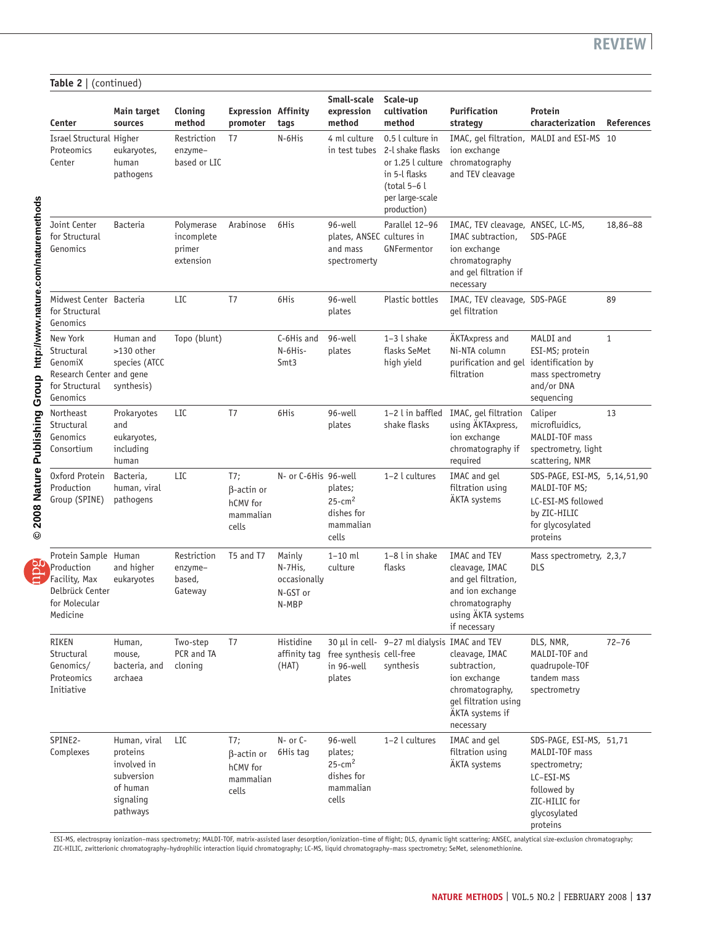#### **Table 2** | (continued)

|                                     | Center                                                                                              | Main target<br>sources                                                                     | Cloning<br>method                               | <b>Expression Affinity</b><br>promoter                     | tags                                                   | Small-scale<br>expression<br>method                                | Scale-up<br>cultivation<br>method                                                                                                            | Purification<br>strategy                                                                                                          | Protein<br>characterization                                                                                                         | <b>References</b> |
|-------------------------------------|-----------------------------------------------------------------------------------------------------|--------------------------------------------------------------------------------------------|-------------------------------------------------|------------------------------------------------------------|--------------------------------------------------------|--------------------------------------------------------------------|----------------------------------------------------------------------------------------------------------------------------------------------|-----------------------------------------------------------------------------------------------------------------------------------|-------------------------------------------------------------------------------------------------------------------------------------|-------------------|
| http://www.nature.com/naturemethods | Israel Structural Higher<br>Proteomics<br>Center                                                    | eukaryotes,<br>human<br>pathogens                                                          | Restriction<br>enzyme-<br>based or LIC          | T <sub>7</sub>                                             | N-6His                                                 | 4 ml culture                                                       | 0.5 l culture in<br>in test tubes 2-l shake flasks<br>or 1.25 l culture<br>in 5-l flasks<br>(total $5-6$ l<br>per large-scale<br>production) | IMAC, gel filtration, MALDI and ESI-MS 10<br>ion exchange<br>chromatography<br>and TEV cleavage                                   |                                                                                                                                     |                   |
|                                     | Joint Center<br>for Structural<br>Genomics                                                          | Bacteria                                                                                   | Polymerase<br>incomplete<br>primer<br>extension | Arabinose                                                  | 6His                                                   | 96-well<br>plates, ANSEC cultures in<br>and mass<br>spectromerty   | Parallel 12-96<br>GNFermentor                                                                                                                | IMAC, TEV cleavage, ANSEC, LC-MS,<br>IMAC subtraction,<br>ion exchange<br>chromatography<br>and gel filtration if<br>necessary    | SDS-PAGE                                                                                                                            | 18,86-88          |
|                                     | Midwest Center Bacteria<br>for Structural<br>Genomics                                               |                                                                                            | LIC                                             | T7                                                         | 6His                                                   | 96-well<br>plates                                                  | Plastic bottles                                                                                                                              | IMAC, TEV cleavage, SDS-PAGE<br>gel filtration                                                                                    |                                                                                                                                     | 89                |
| Group                               | New York<br>Structural<br>GenomiX<br>Research Center and gene<br>for Structural<br>Genomics         | Human and<br>>130 other<br>species (ATCC<br>synthesis)                                     | Topo (blunt)                                    |                                                            | C-6His and<br>N-6His-<br>Smt3                          | 96-well<br>plates                                                  | $1-3$ l shake<br>flasks SeMet<br>high yield                                                                                                  | AKTAxpress and<br>Ni-NTA column<br>purification and gel identification by<br>filtration                                           | MALDI and<br>ESI-MS; protein<br>mass spectrometry<br>and/or DNA<br>sequencing                                                       | $\mathbf{1}$      |
|                                     | Northeast<br>Structural<br>Genomics<br>Consortium                                                   | Prokaryotes<br>and<br>eukaryotes,<br>including<br>human                                    | LIC                                             | T7                                                         | 6His                                                   | 96-well<br>plates                                                  | 1-2 l in baffled<br>shake flasks                                                                                                             | IMAC, gel filtration<br>using ÄKTAxpress,<br>ion exchange<br>chromatography if<br>required                                        | Caliper<br>microfluidics,<br>MALDI-TOF mass<br>spectrometry, light<br>scattering, NMR                                               | 13                |
| © 2008 Nature Publishing            | Oxford Protein<br>Production<br>Group (SPINE)                                                       | Bacteria,<br>human, viral<br>pathogens                                                     | LIC                                             | T7;<br>$\beta$ -actin or<br>hCMV for<br>mammalian<br>cells | N- or C-6His 96-well                                   | plates;<br>$25-cm2$<br>dishes for<br>mammalian<br>cells            | 1-2 l cultures                                                                                                                               | IMAC and gel<br>filtration using<br>ÄKTA systems                                                                                  | SDS-PAGE, ESI-MS, 5,14,51,90<br>MALDI-TOF MS;<br>LC-ESI-MS followed<br>by ZIC-HILIC<br>for glycosylated<br>proteins                 |                   |
|                                     | Protein Sample Human<br>Production<br>Facility, Max<br>Delbrück Center<br>for Molecular<br>Medicine | and higher<br>eukaryotes                                                                   | Restriction<br>enzyme-<br>based,<br>Gateway     | T5 and T7                                                  | Mainly<br>N-7His,<br>occasionally<br>N-GST or<br>N-MBP | $1 - 10$ ml<br>culture                                             | 1-8 l in shake<br>flasks                                                                                                                     | IMAC and TEV<br>cleavage, IMAC<br>and gel filtration,<br>and ion exchange<br>chromatography<br>using ÄKTA systems<br>if necessary | Mass spectrometry, 2,3,7<br><b>DLS</b>                                                                                              |                   |
| <b>RIKEN</b>                        | Structural<br>Genomics/<br>Proteomics<br>Initiative                                                 | Human,<br>mouse,<br>bacteria, and<br>archaea                                               | Two-step<br>PCR and TA<br>cloning               | T7                                                         | Histidine<br>affinity tag<br>(HAT)                     | free synthesis cell-free<br>in 96-well<br>plates                   | 30 µl in cell- 9-27 ml dialysis IMAC and TEV<br>synthesis                                                                                    | cleavage, IMAC<br>subtraction,<br>ion exchange<br>chromatography,<br>gel filtration using<br>AKTA systems if<br>necessary         | DLS, NMR,<br>MALDI-TOF and<br>quadrupole-TOF<br>tandem mass<br>spectrometry                                                         | $72 - 76$         |
|                                     | SPINE2-<br>Complexes                                                                                | Human, viral<br>proteins<br>involved in<br>subversion<br>of human<br>signaling<br>pathways | LIC                                             | T7;<br>$\beta$ -actin or<br>hCMV for<br>mammalian<br>cells | N- or C-<br>6His tag                                   | 96-well<br>plates;<br>$25-cm2$<br>dishes for<br>mammalian<br>cells | 1-2 l cultures                                                                                                                               | IMAC and gel<br>filtration using<br>ÄKTA systems                                                                                  | SDS-PAGE, ESI-MS, 51,71<br>MALDI-TOF mass<br>spectrometry;<br>LC-ESI-MS<br>followed by<br>ZIC-HILIC for<br>qlycosylated<br>proteins |                   |

ESI-MS, electrospray ionization–mass spectrometry; MALDI-TOF, matrix-assisted laser desorption/ionization–time of flight; DLS, dynamic light scattering; ANSEC, analytical size-exclusion chromatography;<br>ZIC-HILIC, zwitterio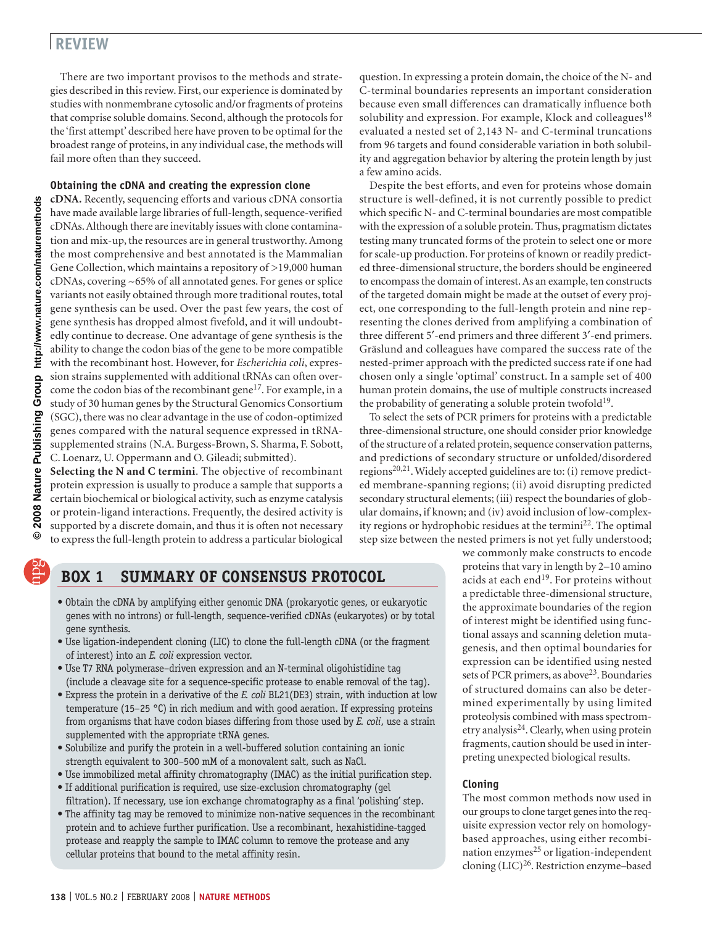There are two important provisos to the methods and strategies described in this review. First, our experience is dominated by studies with nonmembrane cytosolic and/or fragments of proteins that comprise soluble domains. Second, although the protocols for the 'first attempt' described here have proven to be optimal for the broadest range of proteins, in any individual case, the methods will fail more often than they succeed.

#### **Obtaining the cDNA and creating the expression clone**

**cDNA.** Recently, sequencing efforts and various cDNA consortia have made available large libraries of full-length, sequence-verified cDNAs. Although there are inevitably issues with clone contamination and mix-up, the resources are in general trustworthy. Among the most comprehensive and best annotated is the Mammalian Gene Collection, which maintains a repository of >19,000 human cDNAs, covering ~65% of all annotated genes. For genes or splice variants not easily obtained through more traditional routes, total gene synthesis can be used. Over the past few years, the cost of gene synthesis has dropped almost fivefold, and it will undoubtedly continue to decrease. One advantage of gene synthesis is the ability to change the codon bias of the gene to be more compatible with the recombinant host. However, for *Escherichia coli*, expression strains supplemented with additional tRNAs can often overcome the codon bias of the recombinant gene<sup>17</sup>. For example, in a study of 30 human genes by the Structural Genomics Consortium (SGC), there was no clear advantage in the use of codon-optimized genes compared with the natural sequence expressed in tRNAsupplemented strains (N.A. Burgess-Brown, S. Sharma, F. Sobott, C. Loenarz, U. Oppermann and O. Gileadi; submitted).

**Selecting the N and C termini**. The objective of recombinant protein expression is usually to produce a sample that supports a certain biochemical or biological activity, such as enzyme catalysis or protein-ligand interactions. Frequently, the desired activity is supported by a discrete domain, and thus it is often not necessary to express the full-length protein to address a particular biological question. In expressing a protein domain, the choice of the N- and C-terminal boundaries represents an important consideration because even small differences can dramatically influence both solubility and expression. For example, Klock and colleagues<sup>18</sup> evaluated a nested set of 2,143 N- and C-terminal truncations from 96 targets and found considerable variation in both solubility and aggregation behavior by altering the protein length by just a few amino acids.

Despite the best efforts, and even for proteins whose domain structure is well-defined, it is not currently possible to predict which specific N- and C-terminal boundaries are most compatible with the expression of a soluble protein. Thus, pragmatism dictates testing many truncated forms of the protein to select one or more for scale-up production. For proteins of known or readily predicted three-dimensional structure, the borders should be engineered to encompass the domain of interest. As an example, ten constructs of the targeted domain might be made at the outset of every project, one corresponding to the full-length protein and nine representing the clones derived from amplifying a combination of three different 5′-end primers and three different 3′-end primers. Gräslund and colleagues have compared the success rate of the nested-primer approach with the predicted success rate if one had chosen only a single 'optimal' construct. In a sample set of 400 human protein domains, the use of multiple constructs increased the probability of generating a soluble protein twofold<sup>19</sup>.

To select the sets of PCR primers for proteins with a predictable three-dimensional structure, one should consider prior knowledge of the structure of a related protein, sequence conservation patterns, and predictions of secondary structure or unfolded/disordered regions<sup>20,21</sup>. Widely accepted guidelines are to: (i) remove predicted membrane-spanning regions; (ii) avoid disrupting predicted secondary structural elements; (iii) respect the boundaries of globular domains, if known; and (iv) avoid inclusion of low-complexity regions or hydrophobic residues at the termini<sup>22</sup>. The optimal step size between the nested primers is not yet fully understood;

# **BOX 1 SUMMARY OF CONSENSUS PROTOCOL**

- Obtain the cDNA by amplifying either genomic DNA (prokaryotic genes, or eukaryotic genes with no introns) or full-length, sequence-verified cDNAs (eukaryotes) or by total gene synthesis.
- Use ligation-independent cloning (LIC) to clone the full-length cDNA (or the fragment of interest) into an *E. coli* expression vector.
- Use T7 RNA polymerase–driven expression and an N-terminal oligohistidine tag (include a cleavage site for a sequence-specific protease to enable removal of the tag).
- Express the protein in a derivative of the *E. coli* BL21(DE3) strain, with induction at low temperature (15–25 °C) in rich medium and with good aeration. If expressing proteins from organisms that have codon biases differing from those used by *E. coli*, use a strain supplemented with the appropriate tRNA genes.
- Solubilize and purify the protein in a well-buffered solution containing an ionic strength equivalent to 300–500 mM of a monovalent salt, such as NaCl.
- Use immobilized metal affinity chromatography (IMAC) as the initial purification step.
- If additional purification is required, use size-exclusion chromatography (gel filtration). If necessary, use ion exchange chromatography as a final 'polishing' step.
- The affinity tag may be removed to minimize non-native sequences in the recombinant protein and to achieve further purification. Use a recombinant, hexahistidine-tagged protease and reapply the sample to IMAC column to remove the protease and any cellular proteins that bound to the metal affinity resin.

we commonly make constructs to encode proteins that vary in length by 2–10 amino acids at each end<sup>19</sup>. For proteins without a predictable three-dimensional structure, the approximate boundaries of the region of interest might be identified using functional assays and scanning deletion mutagenesis, and then optimal boundaries for expression can be identified using nested sets of PCR primers, as above<sup>23</sup>. Boundaries of structured domains can also be determined experimentally by using limited proteolysis combined with mass spectrometry analysis<sup>24</sup>. Clearly, when using protein fragments, caution should be used in interpreting unexpected biological results.

#### **Cloning**

The most common methods now used in our groups to clone target genes into the requisite expression vector rely on homologybased approaches, using either recombination enzymes<sup>25</sup> or ligation-independent cloning  $(LIC)^{26}$ . Restriction enzyme–based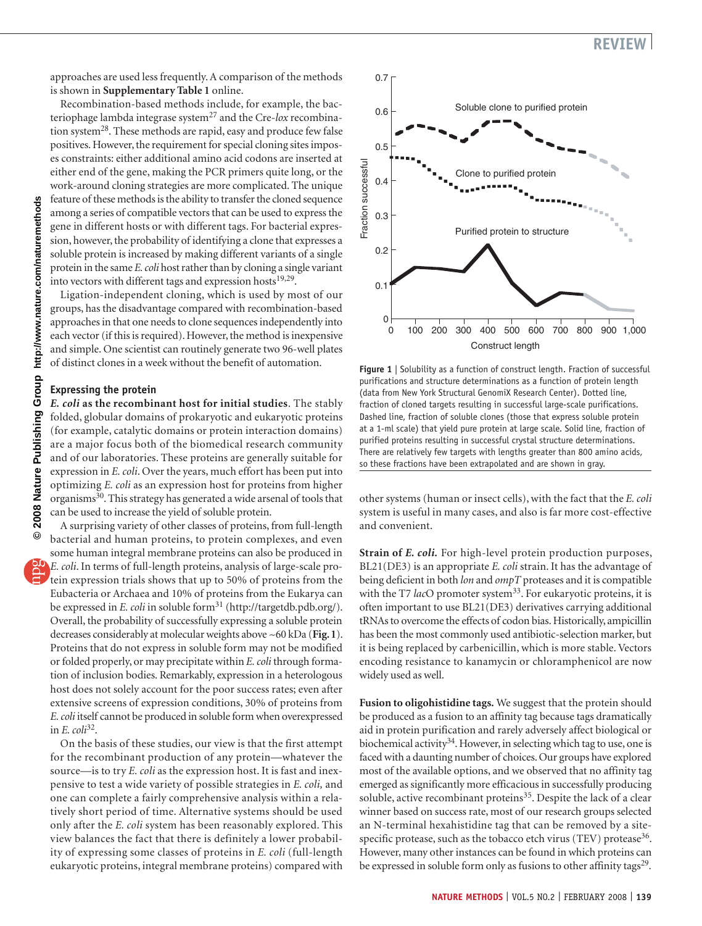approaches are used less frequently. A comparison of the methods is shown in **Supplementary Table 1** online.

Recombination-based methods include, for example, the bacteriophage lambda integrase system<sup>27</sup> and the Cre-lox recombination system<sup>28</sup>. These methods are rapid, easy and produce few false positives. However, the requirement for special cloning sites imposes constraints: either additional amino acid codons are inserted at either end of the gene, making the PCR primers quite long, or the work-around cloning strategies are more complicated. The unique feature of these methods is the ability to transfer the cloned sequence among a series of compatible vectors that can be used to express the gene in different hosts or with different tags. For bacterial expression, however, the probability of identifying a clone that expresses a soluble protein is increased by making different variants of a single protein in the same *E. coli* host rather than by cloning a single variant into vectors with different tags and expression hosts<sup>19,29</sup>.

Ligation-independent cloning, which is used by most of our groups, has the disadvantage compared with recombination-based approaches in that one needs to clone sequences independently into each vector (if this is required). However, the method is inexpensive and simple. One scientist can routinely generate two 96-well plates of distinct clones in a week without the benefit of automation.

#### **Expressing the protein**

*E. coli* **as the recombinant host for initial studies**. The stably folded, globular domains of prokaryotic and eukaryotic proteins (for example, catalytic domains or protein interaction domains) are a major focus both of the biomedical research community and of our laboratories. These proteins are generally suitable for expression in *E. coli*. Over the years, much effort has been put into optimizing *E. coli* as an expression host for proteins from higher organisms<sup>30</sup>. This strategy has generated a wide arsenal of tools that can be used to increase the yield of soluble protein.

A surprising variety of other classes of proteins, from full-length bacterial and human proteins, to protein complexes, and even some human integral membrane proteins can also be produced in *E. coli*. In terms of full-length proteins, analysis of large-scale protein expression trials shows that up to 50% of proteins from the Eubacteria or Archaea and 10% of proteins from the Eukarya can be expressed in *E. coli* in soluble form<sup>31</sup> (http://targetdb.pdb.org/). Overall, the probability of successfully expressing a soluble protein decreases considerably at molecular weights above ~60 kDa (**Fig. 1**). Proteins that do not express in soluble form may not be modified or folded properly, or may precipitate within *E. coli* through formation of inclusion bodies. Remarkably, expression in a heterologous host does not solely account for the poor success rates; even after extensive screens of expression conditions, 30% of proteins from *E. coli* itself cannot be produced in soluble form when overexpressed in  $E.$   $\frac{coli^{32}}{2}$ .

On the basis of these studies, our view is that the first attempt for the recombinant production of any protein—whatever the source—is to try *E. coli* as the expression host. It is fast and inexpensive to test a wide variety of possible strategies in *E. coli,* and one can complete a fairly comprehensive analysis within a relatively short period of time. Alternative systems should be used only after the *E. coli* system has been reasonably explored. This view balances the fact that there is definitely a lower probability of expressing some classes of proteins in *E. coli* (full-length eukaryotic proteins, integral membrane proteins) compared with



**Figure 1** | Solubility as a function of construct length. Fraction of successful purifications and structure determinations as a function of protein length (data from New York Structural GenomiX Research Center). Dotted line, fraction of cloned targets resulting in successful large-scale purifications. Dashed line, fraction of soluble clones (those that express soluble protein at a 1-ml scale) that yield pure protein at large scale. Solid line, fraction of purified proteins resulting in successful crystal structure determinations. There are relatively few targets with lengths greater than 800 amino acids, so these fractions have been extrapolated and are shown in gray.

other systems (human or insect cells), with the fact that the *E. coli* system is useful in many cases, and also is far more cost-effective and convenient.

**Strain of** *E. coli.* For high-level protein production purposes, BL21(DE3) is an appropriate *E. coli* strain. It has the advantage of being deficient in both *lon* and *ompT* proteases and it is compatible with the T7 *lac*O promoter system<sup>33</sup>. For eukaryotic proteins, it is often important to use BL21(DE3) derivatives carrying additional tRNAs to overcome the effects of codon bias. Historically, ampicillin has been the most commonly used antibiotic-selection marker, but it is being replaced by carbenicillin, which is more stable. Vectors encoding resistance to kanamycin or chloramphenicol are now widely used as well.

**Fusion to oligohistidine tags.** We suggest that the protein should be produced as a fusion to an affinity tag because tags dramatically aid in protein purification and rarely adversely affect biological or biochemical activity<sup>34</sup>. However, in selecting which tag to use, one is faced with a daunting number of choices. Our groups have explored most of the available options, and we observed that no affinity tag emerged as significantly more efficacious in successfully producing soluble, active recombinant proteins<sup>35</sup>. Despite the lack of a clear winner based on success rate, most of our research groups selected an N-terminal hexahistidine tag that can be removed by a sitespecific protease, such as the tobacco etch virus (TEV) protease<sup>36</sup>. However, many other instances can be found in which proteins can be expressed in soluble form only as fusions to other affinity tags<sup>29</sup>.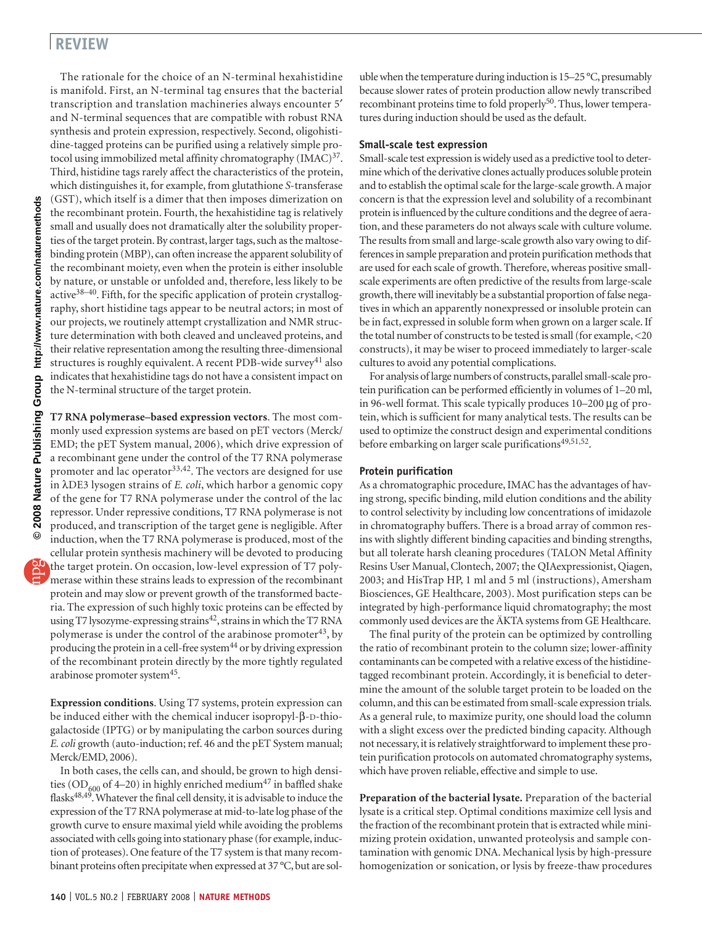The rationale for the choice of an N-terminal hexahistidine is manifold. First, an N-terminal tag ensures that the bacterial transcription and translation machineries always encounter 5′ and N-terminal sequences that are compatible with robust RNA synthesis and protein expression, respectively. Second, oligohistidine-tagged proteins can be purified using a relatively simple protocol using immobilized metal affinity chromatography  $(IMAC)^{37}$ . Third, histidine tags rarely affect the characteristics of the protein, which distinguishes it, for example, from glutathione *S*-transferase (GST), which itself is a dimer that then imposes dimerization on the recombinant protein. Fourth, the hexahistidine tag is relatively small and usually does not dramatically alter the solubility properties of the target protein. By contrast, larger tags, such as the maltosebinding protein (MBP), can often increase the apparent solubility of the recombinant moiety, even when the protein is either insoluble by nature, or unstable or unfolded and, therefore, less likely to be active<sup>38-40</sup>. Fifth, for the specific application of protein crystallography, short histidine tags appear to be neutral actors; in most of our projects, we routinely attempt crystallization and NMR structure determination with both cleaved and uncleaved proteins, and their relative representation among the resulting three-dimensional structures is roughly equivalent. A recent PDB-wide survey<sup>41</sup> also indicates that hexahistidine tags do not have a consistent impact on the N-terminal structure of the target protein.

**T7 RNA polymerase–based expression vectors**. The most commonly used expression systems are based on pET vectors (Merck/ EMD; the pET System manual, 2006), which drive expression of a recombinant gene under the control of the T7 RNA polymerase promoter and lac operator<sup>33,42</sup>. The vectors are designed for use in λDE3 lysogen strains of *E. coli*, which harbor a genomic copy of the gene for T7 RNA polymerase under the control of the lac repressor. Under repressive conditions, T7 RNA polymerase is not produced, and transcription of the target gene is negligible. After induction, when the T7 RNA polymerase is produced, most of the cellular protein synthesis machinery will be devoted to producing the target protein. On occasion, low-level expression of T7 polymerase within these strains leads to expression of the recombinant protein and may slow or prevent growth of the transformed bacteria. The expression of such highly toxic proteins can be effected by using T7 lysozyme-expressing strains<sup>42</sup>, strains in which the T7 RNA polymerase is under the control of the arabinose promoter<sup>43</sup>, by producing the protein in a cell-free system $44$  or by driving expression of the recombinant protein directly by the more tightly regulated arabinose promoter system<sup>45</sup>.

**Expression conditions**. Using T7 systems, protein expression can be induced either with the chemical inducer isopropyl-β-D-thiogalactoside (IPTG) or by manipulating the carbon sources during *E. coli* growth (auto-induction; ref. 46 and the pET System manual; Merck/EMD, 2006).

In both cases, the cells can, and should, be grown to high densities (OD<sub>600</sub> of 4–20) in highly enriched medium<sup>47</sup> in baffled shake flasks<sup>48,49</sup>. Whatever the final cell density, it is advisable to induce the expression of the T7 RNA polymerase at mid-to-late log phase of the growth curve to ensure maximal yield while avoiding the problems associated with cells going into stationary phase (for example, induction of proteases). One feature of the T7 system is that many recombinant proteins often precipitate when expressed at 37 °C, but are sol-

uble when the temperature during induction is 15–25 °C, presumably because slower rates of protein production allow newly transcribed recombinant proteins time to fold properly<sup>50</sup>. Thus, lower temperatures during induction should be used as the default.

#### **Small-scale test expression**

Small-scale test expression is widely used as a predictive tool to determine which of the derivative clones actually produces soluble protein and to establish the optimal scale for the large-scale growth. A major concern is that the expression level and solubility of a recombinant protein is influenced by the culture conditions and the degree of aeration, and these parameters do not always scale with culture volume. The results from small and large-scale growth also vary owing to differences in sample preparation and protein purification methods that are used for each scale of growth. Therefore, whereas positive smallscale experiments are often predictive of the results from large-scale growth, there will inevitably be a substantial proportion of false negatives in which an apparently nonexpressed or insoluble protein can be in fact, expressed in soluble form when grown on a larger scale. If the total number of constructs to be tested is small (for example, <20 constructs), it may be wiser to proceed immediately to larger-scale cultures to avoid any potential complications.

For analysis of large numbers of constructs, parallel small-scale protein purification can be performed efficiently in volumes of 1–20 ml, in 96-well format. This scale typically produces 10–200 µg of protein, which is sufficient for many analytical tests. The results can be used to optimize the construct design and experimental conditions before embarking on larger scale purifications<sup>49,51,52</sup>.

#### **Protein purification**

As a chromatographic procedure, IMAC has the advantages of having strong, specific binding, mild elution conditions and the ability to control selectivity by including low concentrations of imidazole in chromatography buffers. There is a broad array of common resins with slightly different binding capacities and binding strengths, but all tolerate harsh cleaning procedures (TALON Metal Affinity Resins User Manual, Clontech, 2007; the QIAexpressionist, Qiagen, 2003; and HisTrap HP, 1 ml and 5 ml (instructions), Amersham Biosciences, GE Healthcare, 2003). Most purification steps can be integrated by high-performance liquid chromatography; the most commonly used devices are the ÄKTA systems from GE Healthcare.

The final purity of the protein can be optimized by controlling the ratio of recombinant protein to the column size; lower-affinity contaminants can be competed with a relative excess of the histidinetagged recombinant protein. Accordingly, it is beneficial to determine the amount of the soluble target protein to be loaded on the column, and this can be estimated from small-scale expression trials. As a general rule, to maximize purity, one should load the column with a slight excess over the predicted binding capacity. Although not necessary, it is relatively straightforward to implement these protein purification protocols on automated chromatography systems, which have proven reliable, effective and simple to use.

**Preparation of the bacterial lysate.** Preparation of the bacterial lysate is a critical step. Optimal conditions maximize cell lysis and the fraction of the recombinant protein that is extracted while minimizing protein oxidation, unwanted proteolysis and sample contamination with genomic DNA. Mechanical lysis by high-pressure homogenization or sonication, or lysis by freeze-thaw procedures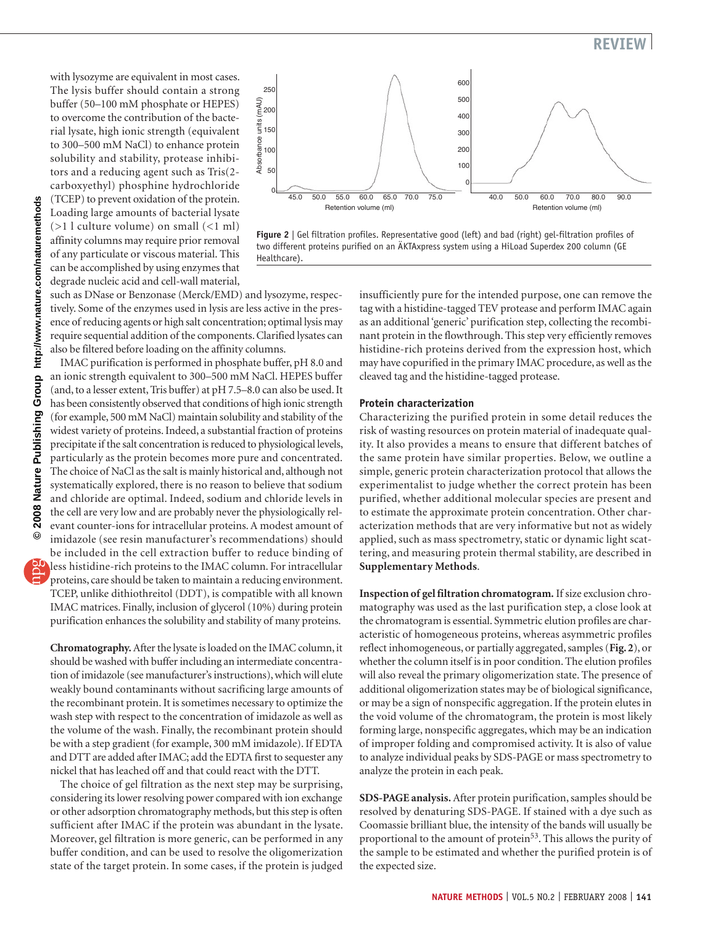with lysozyme are equivalent in most cases. The lysis buffer should contain a strong buffer (50–100 mM phosphate or HEPES) to overcome the contribution of the bacterial lysate, high ionic strength (equivalent to 300–500 mM NaCl) to enhance protein solubility and stability, protease inhibitors and a reducing agent such as Tris(2 carboxyethyl) phosphine hydrochloride (TCEP) to prevent oxidation of the protein. Loading large amounts of bacterial lysate (>1 l culture volume) on small (<1 ml) affinity columns may require prior removal of any particulate or viscous material. This can be accomplished by using enzymes that degrade nucleic acid and cell-wall material,



**Figure 2** | Gel filtration profiles. Representative good (left) and bad (right) gel-filtration profiles of two different proteins purified on an ÄKTAxpress system using a HiLoad Superdex 200 column (GE Healthcare).

such as DNase or Benzonase (Merck/EMD) and lysozyme, respectively. Some of the enzymes used in lysis are less active in the presence of reducing agents or high salt concentration; optimal lysis may require sequential addition of the components. Clarified lysates can also be filtered before loading on the affinity columns.

IMAC purification is performed in phosphate buffer, pH 8.0 and an ionic strength equivalent to 300–500 mM NaCl. HEPES buffer (and, to a lesser extent, Tris buffer) at pH 7.5–8.0 can also be used. It has been consistently observed that conditions of high ionic strength (for example, 500 mM NaCl) maintain solubility and stability of the widest variety of proteins. Indeed, a substantial fraction of proteins precipitate if the salt concentration is reduced to physiological levels, particularly as the protein becomes more pure and concentrated. The choice of NaCl as the salt is mainly historical and, although not systematically explored, there is no reason to believe that sodium and chloride are optimal. Indeed, sodium and chloride levels in the cell are very low and are probably never the physiologically relevant counter-ions for intracellular proteins. A modest amount of imidazole (see resin manufacturer's recommendations) should be included in the cell extraction buffer to reduce binding of less histidine-rich proteins to the IMAC column. For intracellular proteins, care should be taken to maintain a reducing environment. TCEP, unlike dithiothreitol (DDT), is compatible with all known IMAC matrices. Finally, inclusion of glycerol (10%) during protein purification enhances the solubility and stability of many proteins.

**Chromatography.** After the lysate is loaded on the IMAC column, it should be washed with buffer including an intermediate concentration of imidazole (see manufacturer's instructions), which will elute weakly bound contaminants without sacrificing large amounts of the recombinant protein. It is sometimes necessary to optimize the wash step with respect to the concentration of imidazole as well as the volume of the wash. Finally, the recombinant protein should be with a step gradient (for example, 300 mM imidazole). If EDTA and DTT are added after IMAC; add the EDTA first to sequester any nickel that has leached off and that could react with the DTT.

The choice of gel filtration as the next step may be surprising, considering its lower resolving power compared with ion exchange or other adsorption chromatography methods, but this step is often sufficient after IMAC if the protein was abundant in the lysate. Moreover, gel filtration is more generic, can be performed in any buffer condition, and can be used to resolve the oligomerization state of the target protein. In some cases, if the protein is judged insufficiently pure for the intended purpose, one can remove the tag with a histidine-tagged TEV protease and perform IMAC again as an additional 'generic' purification step, collecting the recombinant protein in the flowthrough. This step very efficiently removes histidine-rich proteins derived from the expression host, which may have copurified in the primary IMAC procedure, as well as the cleaved tag and the histidine-tagged protease.

#### **Protein characterization**

Characterizing the purified protein in some detail reduces the risk of wasting resources on protein material of inadequate quality. It also provides a means to ensure that different batches of the same protein have similar properties. Below, we outline a simple, generic protein characterization protocol that allows the experimentalist to judge whether the correct protein has been purified, whether additional molecular species are present and to estimate the approximate protein concentration. Other characterization methods that are very informative but not as widely applied, such as mass spectrometry, static or dynamic light scattering, and measuring protein thermal stability, are described in **Supplementary Methods**.

**Inspection of gel filtration chromatogram.** If size exclusion chromatography was used as the last purification step, a close look at the chromatogram is essential. Symmetric elution profiles are characteristic of homogeneous proteins, whereas asymmetric profiles reflect inhomogeneous, or partially aggregated, samples (**Fig. 2**), or whether the column itself is in poor condition. The elution profiles will also reveal the primary oligomerization state. The presence of additional oligomerization states may be of biological significance, or may be a sign of nonspecific aggregation. If the protein elutes in the void volume of the chromatogram, the protein is most likely forming large, nonspecific aggregates, which may be an indication of improper folding and compromised activity. It is also of value to analyze individual peaks by SDS-PAGE or mass spectrometry to analyze the protein in each peak.

**SDS-PAGE analysis.** After protein purification, samples should be resolved by denaturing SDS-PAGE. If stained with a dye such as Coomassie brilliant blue, the intensity of the bands will usually be proportional to the amount of protein<sup>53</sup>. This allows the purity of the sample to be estimated and whether the purified protein is of the expected size.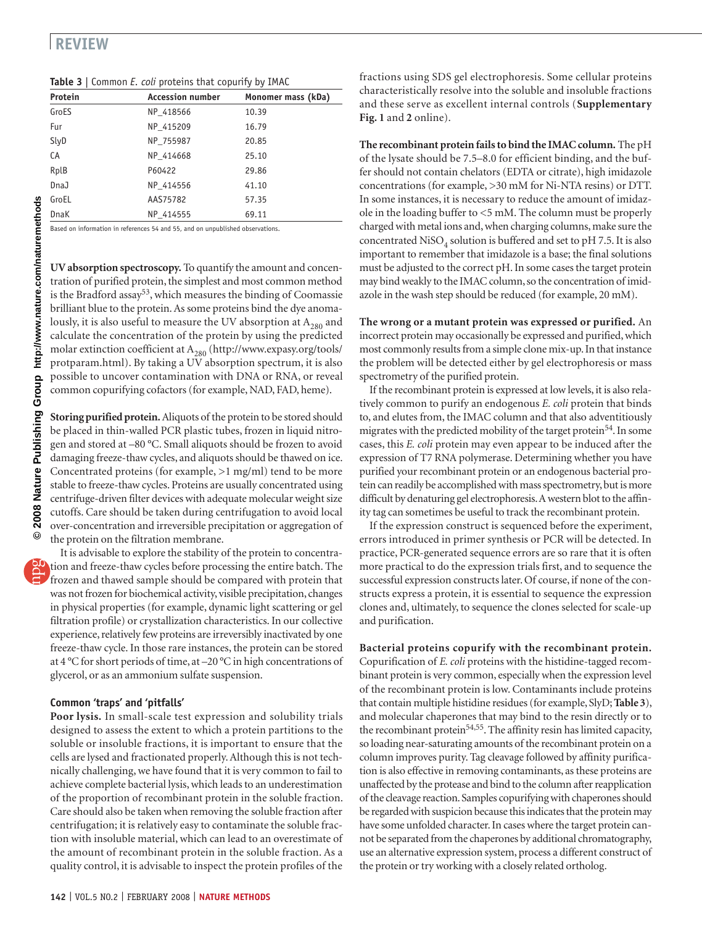| Protein                                                                               | <b>Accession number</b> | Monomer mass (kDa) |  |  |  |  |
|---------------------------------------------------------------------------------------|-------------------------|--------------------|--|--|--|--|
| GroES                                                                                 | NP 418566               | 10.39              |  |  |  |  |
| Fur                                                                                   | NP 415209               | 16.79              |  |  |  |  |
| SlyD                                                                                  | NP 755987               | 20.85              |  |  |  |  |
| CA                                                                                    | NP_414668               | 25.10              |  |  |  |  |
| RplB                                                                                  | P60422                  | 29.86              |  |  |  |  |
| DnaJ                                                                                  | NP 414556               | 41.10              |  |  |  |  |
| GroEL                                                                                 | AAS75782                | 57.35              |  |  |  |  |
| <b>DnaK</b>                                                                           | NP 414555               | 69.11              |  |  |  |  |
| Booked on the conception the information RV and RR and an incomplished about material |                         |                    |  |  |  |  |

**Table 3** | Common *E. coli* proteins that copurify by IMAC

Based on information in references 54 and 55, and on unpublished observations.

**UV absorption spectroscopy.** To quantify the amount and concentration of purified protein, the simplest and most common method is the Bradford assay<sup>53</sup>, which measures the binding of Coomassie brilliant blue to the protein. As some proteins bind the dye anomalously, it is also useful to measure the UV absorption at  $A_{280}$  and calculate the concentration of the protein by using the predicted molar extinction coefficient at  $A_{280}$  (http://www.expasy.org/tools/ protparam.html). By taking a  $U\tilde{V}$  absorption spectrum, it is also possible to uncover contamination with DNA or RNA, or reveal common copurifying cofactors (for example, NAD, FAD, heme).

**Storing purified protein.** Aliquots of the protein to be stored should be placed in thin-walled PCR plastic tubes, frozen in liquid nitrogen and stored at –80 °C. Small aliquots should be frozen to avoid damaging freeze-thaw cycles, and aliquots should be thawed on ice. Concentrated proteins (for example, >1 mg/ml) tend to be more stable to freeze-thaw cycles. Proteins are usually concentrated using centrifuge-driven filter devices with adequate molecular weight size cutoffs. Care should be taken during centrifugation to avoid local over-concentration and irreversible precipitation or aggregation of the protein on the filtration membrane.

It is advisable to explore the stability of the protein to concentration and freeze-thaw cycles before processing the entire batch. The frozen and thawed sample should be compared with protein that was not frozen for biochemical activity, visible precipitation, changes in physical properties (for example, dynamic light scattering or gel filtration profile) or crystallization characteristics. In our collective experience, relatively few proteins are irreversibly inactivated by one freeze-thaw cycle. In those rare instances, the protein can be stored at 4 °C for short periods of time, at –20 °C in high concentrations of glycerol, or as an ammonium sulfate suspension.

#### **Common 'traps' and 'pitfalls'**

**Poor lysis.** In small-scale test expression and solubility trials designed to assess the extent to which a protein partitions to the soluble or insoluble fractions, it is important to ensure that the cells are lysed and fractionated properly. Although this is not technically challenging, we have found that it is very common to fail to achieve complete bacterial lysis, which leads to an underestimation of the proportion of recombinant protein in the soluble fraction. Care should also be taken when removing the soluble fraction after centrifugation; it is relatively easy to contaminate the soluble fraction with insoluble material, which can lead to an overestimate of the amount of recombinant protein in the soluble fraction. As a quality control, it is advisable to inspect the protein profiles of the

**The recombinant protein fails to bind the IMAC column.** The pH of the lysate should be 7.5–8.0 for efficient binding, and the buffer should not contain chelators (EDTA or citrate), high imidazole concentrations (for example, >30 mM for Ni-NTA resins) or DTT. In some instances, it is necessary to reduce the amount of imidazole in the loading buffer to <5 mM. The column must be properly charged with metal ions and, when charging columns, make sure the concentrated NiSO<sub>4</sub> solution is buffered and set to pH 7.5. It is also important to remember that imidazole is a base; the final solutions must be adjusted to the correct pH. In some cases the target protein may bind weakly to the IMAC column, so the concentration of imidazole in the wash step should be reduced (for example, 20 mM).

**The wrong or a mutant protein was expressed or purified.** An incorrect protein may occasionally be expressed and purified, which most commonly results from a simple clone mix-up. In that instance the problem will be detected either by gel electrophoresis or mass spectrometry of the purified protein.

If the recombinant protein is expressed at low levels, it is also relatively common to purify an endogenous *E. coli* protein that binds to, and elutes from, the IMAC column and that also adventitiously migrates with the predicted mobility of the target protein<sup>54</sup>. In some cases, this *E. coli* protein may even appear to be induced after the expression of T7 RNA polymerase. Determining whether you have purified your recombinant protein or an endogenous bacterial protein can readily be accomplished with mass spectrometry, but is more difficult by denaturing gel electrophoresis. A western blot to the affinity tag can sometimes be useful to track the recombinant protein.

If the expression construct is sequenced before the experiment, errors introduced in primer synthesis or PCR will be detected. In practice, PCR-generated sequence errors are so rare that it is often more practical to do the expression trials first, and to sequence the successful expression constructs later. Of course, if none of the constructs express a protein, it is essential to sequence the expression clones and, ultimately, to sequence the clones selected for scale-up and purification.

**Bacterial proteins copurify with the recombinant protein.** Copurification of *E. coli* proteins with the histidine-tagged recombinant protein is very common, especially when the expression level of the recombinant protein is low. Contaminants include proteins that contain multiple histidine residues (for example, SlyD; **Table 3**), and molecular chaperones that may bind to the resin directly or to the recombinant protein<sup>54,55</sup>. The affinity resin has limited capacity, so loading near-saturating amounts of the recombinant protein on a column improves purity. Tag cleavage followed by affinity purification is also effective in removing contaminants, as these proteins are unaffected by the protease and bind to the column after reapplication of the cleavage reaction. Samples copurifying with chaperones should be regarded with suspicion because this indicates that the protein may have some unfolded character. In cases where the target protein cannot be separated from the chaperones by additional chromatography, use an alternative expression system, process a different construct of the protein or try working with a closely related ortholog.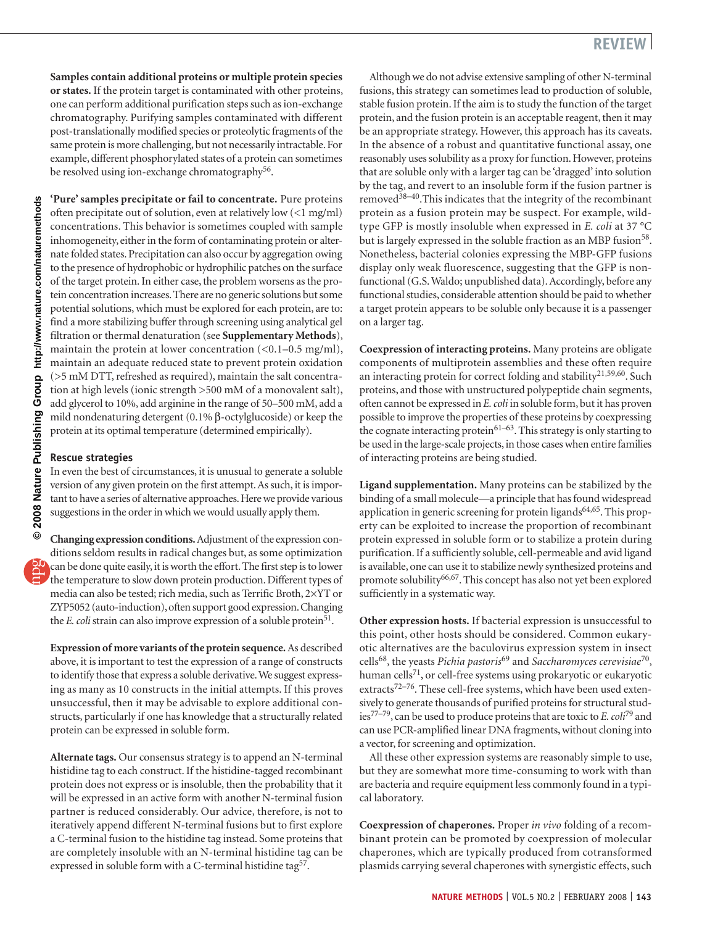**Samples contain additional proteins or multiple protein species or states.** If the protein target is contaminated with other proteins, one can perform additional purification steps such as ion-exchange chromatography. Purifying samples contaminated with different post-translationally modified species or proteolytic fragments of the same protein is more challenging, but not necessarily intractable. For example, different phosphorylated states of a protein can sometimes be resolved using ion-exchange chromatography<sup>56</sup>.

**'Pure' samples precipitate or fail to concentrate.** Pure proteins often precipitate out of solution, even at relatively low (<1 mg/ml) concentrations. This behavior is sometimes coupled with sample inhomogeneity, either in the form of contaminating protein or alternate folded states. Precipitation can also occur by aggregation owing to the presence of hydrophobic or hydrophilic patches on the surface of the target protein. In either case, the problem worsens as the protein concentration increases. There are no generic solutions but some potential solutions, which must be explored for each protein, are to: find a more stabilizing buffer through screening using analytical gel filtration or thermal denaturation (see **Supplementary Methods**), maintain the protein at lower concentration (<0.1-0.5 mg/ml), maintain an adequate reduced state to prevent protein oxidation (>5 mM DTT, refreshed as required), maintain the salt concentration at high levels (ionic strength >500 mM of a monovalent salt), add glycerol to 10%, add arginine in the range of 50–500 mM, add a mild nondenaturing detergent (0.1% β-octylglucoside) or keep the protein at its optimal temperature (determined empirically).

#### **Rescue strategies**

In even the best of circumstances, it is unusual to generate a soluble version of any given protein on the first attempt. As such, it is important to have a series of alternative approaches. Here we provide various suggestions in the order in which we would usually apply them.

**Changing expression conditions.** Adjustment of the expression conditions seldom results in radical changes but, as some optimization can be done quite easily, it is worth the effort. The first step is to lower the temperature to slow down protein production. Different types of media can also be tested; rich media, such as Terrific Broth, 2×YT or ZYP5052 (auto-induction), often support good expression. Changing the *E. coli* strain can also improve expression of a soluble protein<sup>51</sup>.

**Expression of more variants of the protein sequence.** As described above, it is important to test the expression of a range of constructs to identify those that express a soluble derivative. We suggest expressing as many as 10 constructs in the initial attempts. If this proves unsuccessful, then it may be advisable to explore additional constructs, particularly if one has knowledge that a structurally related protein can be expressed in soluble form.

**Alternate tags.** Our consensus strategy is to append an N-terminal histidine tag to each construct. If the histidine-tagged recombinant protein does not express or is insoluble, then the probability that it will be expressed in an active form with another N-terminal fusion partner is reduced considerably. Our advice, therefore, is not to iteratively append different N-terminal fusions but to first explore a C-terminal fusion to the histidine tag instead. Some proteins that are completely insoluble with an N-terminal histidine tag can be expressed in soluble form with a C-terminal histidine tag<sup>57</sup>.

Although we do not advise extensive sampling of other N-terminal fusions, this strategy can sometimes lead to production of soluble, stable fusion protein. If the aim is to study the function of the target protein, and the fusion protein is an acceptable reagent, then it may be an appropriate strategy. However, this approach has its caveats. In the absence of a robust and quantitative functional assay, one reasonably uses solubility as a proxy for function. However, proteins that are soluble only with a larger tag can be 'dragged' into solution by the tag, and revert to an insoluble form if the fusion partner is removed<sup>38-40</sup>. This indicates that the integrity of the recombinant protein as a fusion protein may be suspect. For example, wildtype GFP is mostly insoluble when expressed in *E. coli* at 37 °C but is largely expressed in the soluble fraction as an MBP fusion<sup>58</sup>. Nonetheless, bacterial colonies expressing the MBP-GFP fusions display only weak fluorescence, suggesting that the GFP is nonfunctional (G.S. Waldo; unpublished data). Accordingly, before any functional studies, considerable attention should be paid to whether a target protein appears to be soluble only because it is a passenger on a larger tag.

**Coexpression of interacting proteins.** Many proteins are obligate components of multiprotein assemblies and these often require an interacting protein for correct folding and stability $2^{1,59,60}$ . Such proteins, and those with unstructured polypeptide chain segments, often cannot be expressed in *E. coli* in soluble form, but it has proven possible to improve the properties of these proteins by coexpressing the cognate interacting protein61–63. This strategy is only starting to be used in the large-scale projects, in those cases when entire families of interacting proteins are being studied.

**Ligand supplementation.** Many proteins can be stabilized by the binding of a small molecule—a principle that has found widespread application in generic screening for protein ligands<sup>64,65</sup>. This property can be exploited to increase the proportion of recombinant protein expressed in soluble form or to stabilize a protein during purification. If a sufficiently soluble, cell-permeable and avid ligand is available, one can use it to stabilize newly synthesized proteins and promote solubility<sup>66,67</sup>. This concept has also not yet been explored sufficiently in a systematic way.

**Other expression hosts.** If bacterial expression is unsuccessful to this point, other hosts should be considered. Common eukaryotic alternatives are the baculovirus expression system in insect cells68, the yeasts *Pichia pastoris*69 and *Saccharomyces cerevisiae*70, human cells<sup>71</sup>, or cell-free systems using prokaryotic or eukaryotic extracts<sup>72–76</sup>. These cell-free systems, which have been used extensively to generate thousands of purified proteins for structural studies77–79, can be used to produce proteins that are toxic to *E. coli*79 and can use PCR-amplified linear DNA fragments, without cloning into a vector, for screening and optimization.

All these other expression systems are reasonably simple to use, but they are somewhat more time-consuming to work with than are bacteria and require equipment less commonly found in a typical laboratory.

**Coexpression of chaperones.** Proper *in vivo* folding of a recombinant protein can be promoted by coexpression of molecular chaperones, which are typically produced from cotransformed plasmids carrying several chaperones with synergistic effects, such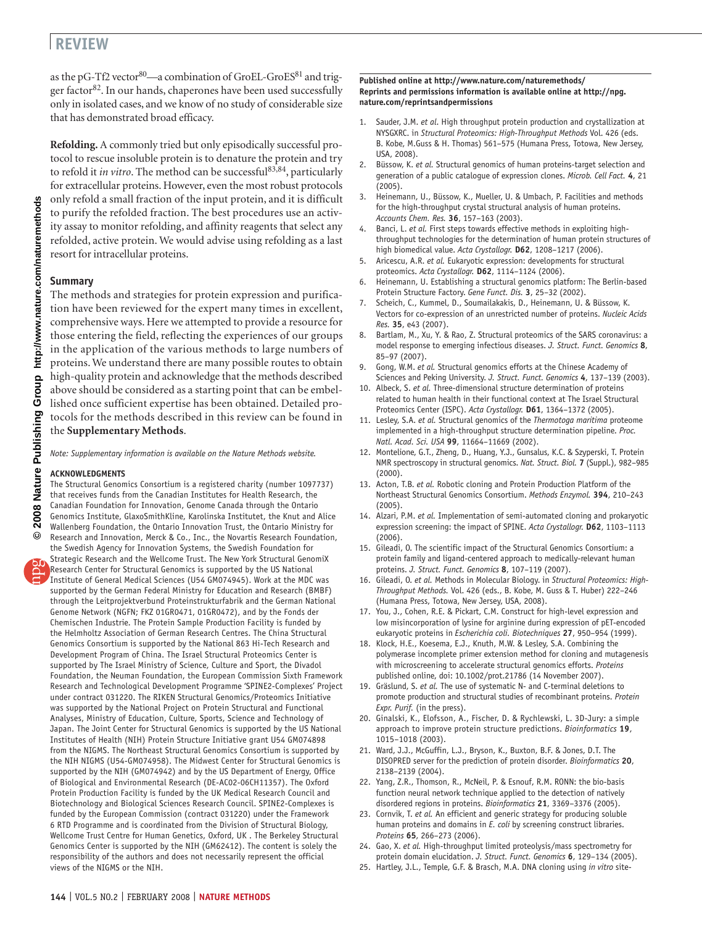as the pG-Tf2 vector<sup>80</sup>—a combination of GroEL-GroES<sup>81</sup> and trigger factor<sup>82</sup>. In our hands, chaperones have been used successfully only in isolated cases, and we know of no study of considerable size that has demonstrated broad efficacy.

**Refolding.** A commonly tried but only episodically successful protocol to rescue insoluble protein is to denature the protein and try to refold it *in vitro*. The method can be successful<sup>83,84</sup>, particularly for extracellular proteins. However, even the most robust protocols only refold a small fraction of the input protein, and it is difficult to purify the refolded fraction. The best procedures use an activity assay to monitor refolding, and affinity reagents that select any refolded, active protein. We would advise using refolding as a last resort for intracellular proteins.

#### **Summary**

The methods and strategies for protein expression and purification have been reviewed for the expert many times in excellent, comprehensive ways. Here we attempted to provide a resource for those entering the field, reflecting the experiences of our groups in the application of the various methods to large numbers of proteins. We understand there are many possible routes to obtain high-quality protein and acknowledge that the methods described above should be considered as a starting point that can be embellished once sufficient expertise has been obtained. Detailed protocols for the methods described in this review can be found in the **Supplementary Methods**.

*Note: Supplementary information is available on the Nature Methods website.*

#### **ACKNOWLEDGMENTS**

The Structural Genomics Consortium is a registered charity (number 1097737) that receives funds from the Canadian Institutes for Health Research, the Canadian Foundation for Innovation, Genome Canada through the Ontario Genomics Institute, GlaxoSmithKline, Karolinska Institutet, the Knut and Alice Wallenberg Foundation, the Ontario Innovation Trust, the Ontario Ministry for Research and Innovation, Merck & Co., Inc., the Novartis Research Foundation, the Swedish Agency for Innovation Systems, the Swedish Foundation for Strategic Research and the Wellcome Trust. The New York Structural GenomiX Research Center for Structural Genomics is supported by the US National Institute of General Medical Sciences (U54 GM074945). Work at the MDC was supported by the German Federal Ministry for Education and Research (BMBF) through the Leitprojektverbund Proteinstrukturfabrik and the German National Genome Network (NGFN; FKZ 01GR0471, 01GR0472), and by the Fonds der Chemischen Industrie. The Protein Sample Production Facility is funded by the Helmholtz Association of German Research Centres. The China Structural Genomics Consortium is supported by the National 863 Hi-Tech Research and Development Program of China. The Israel Structural Proteomics Center is supported by The Israel Ministry of Science, Culture and Sport, the Divadol Foundation, the Neuman Foundation, the European Commission Sixth Framework Research and Technological Development Programme 'SPINE2-Complexes' Project under contract 031220. The RIKEN Structural Genomics/Proteomics Initiative was supported by the National Project on Protein Structural and Functional Analyses, Ministry of Education, Culture, Sports, Science and Technology of Japan. The Joint Center for Structural Genomics is supported by the US National Institutes of Health (NIH) Protein Structure Initiative grant U54 GM074898 from the NIGMS. The Northeast Structural Genomics Consortium is supported by the NIH NIGMS (U54-GM074958). The Midwest Center for Structural Genomics is supported by the NIH (GM074942) and by the US Department of Energy, Office of Biological and Environmental Research (DE-AC02-06CH11357). The Oxford Protein Production Facility is funded by the UK Medical Research Council and Biotechnology and Biological Sciences Research Council. SPINE2-Complexes is funded by the European Commission (contract 031220) under the Framework 6 RTD Programme and is coordinated from the Division of Structural Biology, Wellcome Trust Centre for Human Genetics, Oxford, UK . The Berkeley Structural Genomics Center is supported by the NIH (GM62412). The content is solely the responsibility of the authors and does not necessarily represent the official views of the NIGMS or the NIH.

#### **Published online at http://www.nature.com/naturemethods/ Reprints and permissions information is available online at http://npg. nature.com/reprintsandpermissions**

- 1. Sauder, J.M. *et al*. High throughput protein production and crystallization at NYSGXRC. in *Structural Proteomics: High-Throughput Methods* Vol. 426 (eds. B. Kobe, M.Guss & H. Thomas) 561–575 (Humana Press, Totowa, New Jersey, USA, 2008).
- 2. Büssow, K. *et al.* Structural genomics of human proteins-target selection and generation of a public catalogue of expression clones. *Microb. Cell Fact.* **4**, 21 (2005).
- 3. Heinemann, U., Büssow, K., Mueller, U. & Umbach, P. Facilities and methods for the high-throughput crystal structural analysis of human proteins. *Accounts Chem. Res.* **36**, 157–163 (2003).
- 4. Banci, L. *et al.* First steps towards effective methods in exploiting highthroughput technologies for the determination of human protein structures of high biomedical value. *Acta Crystallogr.* **D62**, 1208–1217 (2006).
- 5. Aricescu, A.R. *et al.* Eukaryotic expression: developments for structural proteomics. *Acta Crystallogr.* **D62**, 1114–1124 (2006).
- 6. Heinemann, U. Establishing a structural genomics platform: The Berlin-based Protein Structure Factory. *Gene Funct. Dis.* **3**, 25–32 (2002).
- 7. Scheich, C., Kummel, D., Soumailakakis, D., Heinemann, U. & Büssow, K. Vectors for co-expression of an unrestricted number of proteins. *Nucleic Acids Res.* **35**, e43 (2007).
- 8. Bartlam, M., Xu, Y. & Rao, Z. Structural proteomics of the SARS coronavirus: a model response to emerging infectious diseases. *J. Struct. Funct. Genomics* **8**, 85–97 (2007).
- 9. Gong, W.M. *et al.* Structural genomics efforts at the Chinese Academy of Sciences and Peking University. *J. Struct. Funct. Genomics* **4**, 137–139 (2003).
- 10. Albeck, S. *et al.* Three-dimensional structure determination of proteins related to human health in their functional context at The Israel Structural Proteomics Center (ISPC). *Acta Crystallogr.* **D61**, 1364–1372 (2005).
- 11. Lesley, S.A. *et al.* Structural genomics of the *Thermotoga maritima* proteome implemented in a high-throughput structure determination pipeline. *Proc. Natl. Acad. Sci. USA* **99**, 11664–11669 (2002).
- 12. Montelione, G.T., Zheng, D., Huang, Y.J., Gunsalus, K.C. & Szyperski, T. Protein NMR spectroscopy in structural genomics. *Nat. Struct. Biol.* **7** (Suppl.), 982–985 (2000).
- 13. Acton, T.B. *et al.* Robotic cloning and Protein Production Platform of the Northeast Structural Genomics Consortium. *Methods Enzymol.* **394**, 210–243 (2005).
- 14. Alzari, P.M. *et al.* Implementation of semi-automated cloning and prokaryotic expression screening: the impact of SPINE. *Acta Crystallogr.* **D62**, 1103–1113 (2006).
- 15. Gileadi, O. The scientific impact of the Structural Genomics Consortium: a protein family and ligand-centered approach to medically-relevant human proteins. *J. Struct. Funct. Genomics* **8**, 107–119 (2007).
- 16. Gileadi, O. *et al.* Methods in Molecular Biology. in *Structural Proteomics: High-Throughput Methods.* Vol. 426 (eds., B. Kobe, M. Guss & T. Huber) 222–246 (Humana Press, Totowa, New Jersey, USA, 2008).
- 17. You, J., Cohen, R.E. & Pickart, C.M. Construct for high-level expression and low misincorporation of lysine for arginine during expression of pET-encoded eukaryotic proteins in *Escherichia coli. Biotechniques* **27**, 950–954 (1999).
- 18. Klock, H.E., Koesema, E.J., Knuth, M.W. & Lesley, S.A. Combining the polymerase incomplete primer extension method for cloning and mutagenesis with microscreening to accelerate structural genomics efforts. *Proteins* published online, doi: 10.1002/prot.21786 (14 November 2007).
- 19. Gräslund, S. *et al.* The use of systematic N- and C-terminal deletions to promote production and structural studies of recombinant proteins. *Protein Expr. Purif.* (in the press).
- 20. Ginalski, K., Elofsson, A., Fischer, D. & Rychlewski, L. 3D-Jury: a simple approach to improve protein structure predictions. *Bioinformatics* **19**, 1015–1018 (2003).
- 21. Ward, J.J., McGuffin, L.J., Bryson, K., Buxton, B.F. & Jones, D.T. The DISOPRED server for the prediction of protein disorder. *Bioinformatics* **20**, 2138–2139 (2004).
- 22. Yang, Z.R., Thomson, R., McNeil, P. & Esnouf, R.M. RONN: the bio-basis function neural network technique applied to the detection of natively disordered regions in proteins. *Bioinformatics* **21**, 3369–3376 (2005).
- 23. Cornvik, T. *et al.* An efficient and generic strategy for producing soluble human proteins and domains in *E. coli* by screening construct libraries. *Proteins* **65**, 266–273 (2006).
- 24. Gao, X. *et al.* High-throughput limited proteolysis/mass spectrometry for protein domain elucidation. *J. Struct. Funct. Genomics* **6**, 129–134 (2005).
- 25. Hartley, J.L., Temple, G.F. & Brasch, M.A. DNA cloning using *in vitro* site-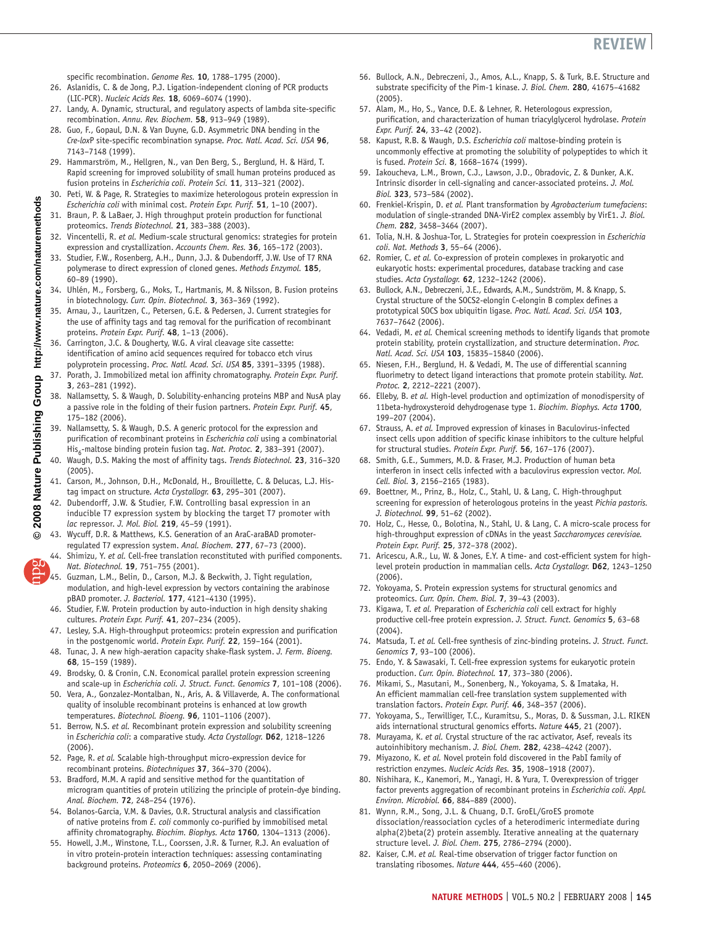

specific recombination. *Genome Res.* **10**, 1788–1795 (2000).

- 26. Aslanidis, C. & de Jong, P.J. Ligation-independent cloning of PCR products (LIC-PCR). *Nucleic Acids Res.* **18**, 6069–6074 (1990).
- 27. Landy, A. Dynamic, structural, and regulatory aspects of lambda site-specific recombination. *Annu. Rev. Biochem.* **58**, 913–949 (1989).
- 28. Guo, F., Gopaul, D.N. & Van Duyne, G.D. Asymmetric DNA bending in the *Cre-lox*P site-specific recombination synapse. *Proc. Natl. Acad. Sci. USA* **96**, 7143–7148 (1999).
- 29. Hammarström, M., Hellgren, N., van Den Berg, S., Berglund, H. & Härd, T. Rapid screening for improved solubility of small human proteins produced as fusion proteins in *Escherichia coli. Protein Sci.* **11**, 313–321 (2002).
- 30. Peti, W. & Page, R. Strategies to maximize heterologous protein expression in *Escherichia coli* with minimal cost. *Protein Expr. Purif.* **51**, 1–10 (2007).
- 31. Braun, P. & LaBaer, J. High throughput protein production for functional proteomics. *Trends Biotechnol.* **21**, 383–388 (2003).
- 32. Vincentelli, R. *et al.* Medium-scale structural genomics: strategies for protein expression and crystallization. *Accounts Chem. Res.* **36**, 165–172 (2003).
- 33. Studier, F.W., Rosenberg, A.H., Dunn, J.J. & Dubendorff, J.W. Use of T7 RNA polymerase to direct expression of cloned genes. *Methods Enzymol.* **185**, 60–89 (1990).
- Uhlén, M., Forsberg, G., Moks, T., Hartmanis, M. & Nilsson, B. Fusion proteins in biotechnology. *Curr. Opin. Biotechnol.* **3**, 363–369 (1992).
- 35. Arnau, J., Lauritzen, C., Petersen, G.E. & Pedersen, J. Current strategies for the use of affinity tags and tag removal for the purification of recombinant proteins. *Protein Expr. Purif.* **48**, 1–13 (2006).
- 36. Carrington, J.C. & Dougherty, W.G. A viral cleavage site cassette: identification of amino acid sequences required for tobacco etch virus polyprotein processing. *Proc. Natl. Acad. Sci. USA* **85**, 3391–3395 (1988).
- 37. Porath, J. Immobilized metal ion affinity chromatography. *Protein Expr. Purif.* **3**, 263–281 (1992).
- 38. Nallamsetty, S. & Waugh, D. Solubility-enhancing proteins MBP and NusA play a passive role in the folding of their fusion partners. *Protein Expr. Purif.* **45**, 175–182 (2006).
- 39. Nallamsetty, S. & Waugh, D.S. A generic protocol for the expression and purification of recombinant proteins in *Escherichia coli* using a combinatorial His<sub>6</sub>-maltose binding protein fusion tag. Nat. Protoc. 2, 383-391 (2007).
- 40. Waugh, D.S. Making the most of affinity tags. *Trends Biotechnol.* **23**, 316–320 (2005).
- 41. Carson, M., Johnson, D.H., McDonald, H., Brouillette, C. & Delucas, L.J. Histag impact on structure. *Acta Crystallogr.* **63**, 295–301 (2007).

**© 2008 Nature Pu**

 $\odot$ 

**2008 Nature Publishing** 

**Group http://ww**

Group

http://www.nature.com/naturemethods **w.nature.com/naturemethods**

- 42. Dubendorff, J.W. & Studier, F.W. Controlling basal expression in an inducible T7 expression system by blocking the target T7 promoter with *lac* repressor. *J. Mol. Biol.* **219**, 45–59 (1991).
- 43. Wycuff, D.R. & Matthews, K.S. Generation of an AraC-araBAD promoterregulated T7 expression system. *Anal. Biochem.* **277**, 67–73 (2000). 44. Shimizu, Y. *et al.* Cell-free translation reconstituted with purified components.
- *Nat. Biotechnol.* **19**, 751–755 (2001).
- 45. Guzman, L.M., Belin, D., Carson, M.J. & Beckwith, J. Tight regulation, modulation, and high-level expression by vectors containing the arabinose pBAD promoter. *J. Bacteriol.* **177**, 4121–4130 (1995).
- 46. Studier, F.W. Protein production by auto-induction in high density shaking cultures. *Protein Expr. Purif.* **41**, 207–234 (2005).
- 47. Lesley, S.A. High-throughput proteomics: protein expression and purification in the postgenomic world. *Protein Expr. Purif.* **22**, 159–164 (2001).
- 48. Tunac, J. A new high-aeration capacity shake-flask system. *J. Ferm. Bioeng.* **68**, 15–159 (1989).
- 49. Brodsky, O. & Cronin, C.N. Economical parallel protein expression screening and scale-up in *Escherichia coli. J. Struct. Funct. Genomics* **7**, 101–108 (2006).
- 50. Vera, A., Gonzalez-Montalban, N., Aris, A. & Villaverde, A. The conformational quality of insoluble recombinant proteins is enhanced at low growth temperatures. *Biotechnol. Bioeng.* **96**, 1101–1106 (2007).
- 51. Berrow, N.S. *et al.* Recombinant protein expression and solubility screening in *Escherichia coli*: a comparative study. *Acta Crystallogr.* **D62**, 1218–1226 (2006).
- 52. Page, R. *et al.* Scalable high-throughput micro-expression device for recombinant proteins. *Biotechniques* **37**, 364–370 (2004).
- 53. Bradford, M.M. A rapid and sensitive method for the quantitation of microgram quantities of protein utilizing the principle of protein-dye binding. *Anal. Biochem.* **72**, 248–254 (1976).
- 54. Bolanos-Garcia, V.M. & Davies, O.R. Structural analysis and classification of native proteins from *E. coli* commonly co-purified by immobilised metal affinity chromatography. *Biochim. Biophys. Acta* **1760**, 1304–1313 (2006).
- 55. Howell, J.M., Winstone, T.L., Coorssen, J.R. & Turner, R.J. An evaluation of in vitro protein-protein interaction techniques: assessing contaminating background proteins. *Proteomics* **6**, 2050–2069 (2006).
- 56. Bullock, A.N., Debreczeni, J., Amos, A.L., Knapp, S. & Turk, B.E. Structure and substrate specificity of the Pim-1 kinase. *J. Biol. Chem.* **280**, 41675–41682 (2005).
- 57. Alam, M., Ho, S., Vance, D.E. & Lehner, R. Heterologous expression, purification, and characterization of human triacylglycerol hydrolase. *Protein Expr. Purif.* **24**, 33–42 (2002).
- 58. Kapust, R.B. & Waugh, D.S. *Escherichia coli* maltose-binding protein is uncommonly effective at promoting the solubility of polypeptides to which it is fused. *Protein Sci.* **8**, 1668–1674 (1999).
- 59. Iakoucheva, L.M., Brown, C.J., Lawson, J.D., Obradovic, Z. & Dunker, A.K. Intrinsic disorder in cell-signaling and cancer-associated proteins. *J. Mol. Biol.* **323**, 573–584 (2002).
- 60. Frenkiel-Krispin, D. *et al.* Plant transformation by *Agrobacterium tumefaciens*: modulation of single-stranded DNA-VirE2 complex assembly by VirE1. *J. Biol. Chem.* **282**, 3458–3464 (2007).
- 61. Tolia, N.H. & Joshua-Tor, L. Strategies for protein coexpression in *Escherichia coli. Nat. Methods* **3**, 55–64 (2006).
- 62. Romier, C. *et al.* Co-expression of protein complexes in prokaryotic and eukaryotic hosts: experimental procedures, database tracking and case studies. *Acta Crystallogr.* **62**, 1232–1242 (2006).
- 63. Bullock, A.N., Debreczeni, J.E., Edwards, A.M., Sundström, M. & Knapp, S. Crystal structure of the SOCS2-elongin C-elongin B complex defines a prototypical SOCS box ubiquitin ligase. *Proc. Natl. Acad. Sci. USA* **103**, 7637–7642 (2006).
- 64. Vedadi, M. *et al.* Chemical screening methods to identify ligands that promote protein stability, protein crystallization, and structure determination. *Proc. Natl. Acad. Sci. USA* **103**, 15835–15840 (2006).
- 65. Niesen, F.H., Berglund, H. & Vedadi, M. The use of differential scanning fluorimetry to detect ligand interactions that promote protein stability. *Nat. Protoc.* **2**, 2212–2221 (2007).
- 66. Elleby, B. *et al.* High-level production and optimization of monodispersity of 11beta-hydroxysteroid dehydrogenase type 1. *Biochim. Biophys. Acta* **1700**, 199–207 (2004).
- 67. Strauss, A. *et al.* Improved expression of kinases in Baculovirus-infected insect cells upon addition of specific kinase inhibitors to the culture helpful for structural studies. *Protein Expr. Purif.* **56**, 167–176 (2007).
- 68. Smith, G.E., Summers, M.D. & Fraser, M.J. Production of human beta interferon in insect cells infected with a baculovirus expression vector. *Mol. Cell. Biol.* **3**, 2156–2165 (1983).
- 69. Boettner, M., Prinz, B., Holz, C., Stahl, U. & Lang, C. High-throughput screening for expression of heterologous proteins in the yeast *Pichia pastoris. J. Biotechnol.* **99**, 51–62 (2002).
- 70. Holz, C., Hesse, O., Bolotina, N., Stahl, U. & Lang, C. A micro-scale process for high-throughput expression of cDNAs in the yeast *Saccharomyces cerevisiae. Protein Expr. Purif.* **25**, 372–378 (2002).
- 71. Aricescu, A.R., Lu, W. & Jones, E.Y. A time- and cost-efficient system for highlevel protein production in mammalian cells. *Acta Crystallogr.* **D62**, 1243–1250 (2006).
- 72. Yokoyama, S. Protein expression systems for structural genomics and proteomics. *Curr. Opin. Chem. Biol.* **7**, 39–43 (2003).
- 73. Kigawa, T. *et al.* Preparation of *Escherichia coli* cell extract for highly productive cell-free protein expression. *J. Struct. Funct. Genomics* **5**, 63–68 (2004).
- 74. Matsuda, T. *et al.* Cell-free synthesis of zinc-binding proteins. *J. Struct. Funct. Genomics* **7**, 93–100 (2006).
- 75. Endo, Y. & Sawasaki, T. Cell-free expression systems for eukaryotic protein production. *Curr. Opin. Biotechnol.* **17**, 373–380 (2006).
- 76. Mikami, S., Masutani, M., Sonenberg, N., Yokoyama, S. & Imataka, H. An efficient mammalian cell-free translation system supplemented with translation factors. *Protein Expr. Purif.* **46**, 348–357 (2006).
- 77. Yokoyama, S., Terwilliger, T.C., Kuramitsu, S., Moras, D. & Sussman, J.L. RIKEN aids international structural genomics efforts. *Nature* **445**, 21 (2007).
- 78. Murayama, K. *et al.* Crystal structure of the rac activator, Asef, reveals its autoinhibitory mechanism. *J. Biol. Chem.* **282**, 4238–4242 (2007).
- 79. Miyazono, K. *et al.* Novel protein fold discovered in the PabI family of restriction enzymes. *Nucleic Acids Res.* **35**, 1908–1918 (2007).
- 80. Nishihara, K., Kanemori, M., Yanagi, H. & Yura, T. Overexpression of trigger factor prevents aggregation of recombinant proteins in *Escherichia coli. Appl. Environ. Microbiol.* **66**, 884–889 (2000).
- 81. Wynn, R.M., Song, J.L. & Chuang, D.T. GroEL/GroES promote dissociation/reassociation cycles of a heterodimeric intermediate during alpha(2)beta(2) protein assembly. Iterative annealing at the quaternary structure level. *J. Biol. Chem.* **275**, 2786–2794 (2000).
- 82. Kaiser, C.M. *et al.* Real-time observation of trigger factor function on translating ribosomes. *Nature* **444**, 455–460 (2006).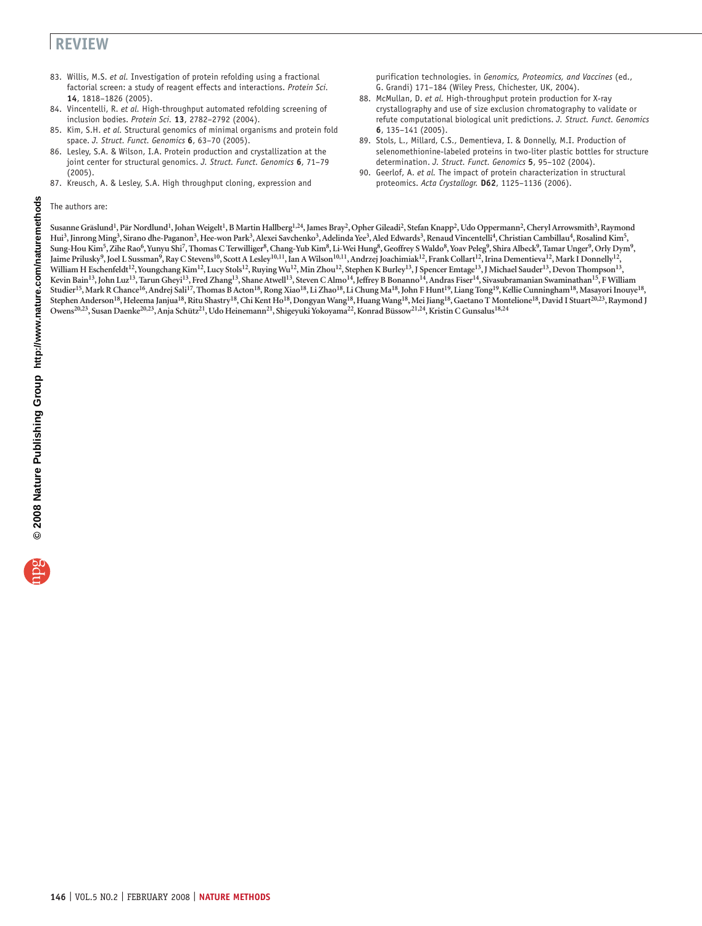- 83. Willis, M.S. *et al.* Investigation of protein refolding using a fractional factorial screen: a study of reagent effects and interactions. *Protein Sci.* **14**, 1818–1826 (2005).
- 84. Vincentelli, R. *et al.* High-throughput automated refolding screening of inclusion bodies. *Protein Sci.* **13**, 2782–2792 (2004).
- 85. Kim, S.H. *et al.* Structural genomics of minimal organisms and protein fold space. *J. Struct. Funct. Genomics* **6**, 63–70 (2005).
- 86. Lesley, S.A. & Wilson, I.A. Protein production and crystallization at the joint center for structural genomics. *J. Struct. Funct. Genomics* **6**, 71–79 (2005).
- 87. Kreusch, A. & Lesley, S.A. High throughput cloning, expression and

purification technologies. in *Genomics, Proteomics, and Vaccines* (ed., G. Grandi) 171–184 (Wiley Press, Chichester, UK, 2004).

- 88. McMullan, D. *et al.* High-throughput protein production for X-ray crystallography and use of size exclusion chromatography to validate or refute computational biological unit predictions. *J. Struct. Funct. Genomics* **6**, 135–141 (2005).
- 89. Stols, L., Millard, C.S., Dementieva, I. & Donnelly, M.I. Production of selenomethionine-labeled proteins in two-liter plastic bottles for structure determination. *J. Struct. Funct. Genomics* **5**, 95–102 (2004).
- 90. Geerlof, A. *et al.* The impact of protein characterization in structural proteomics. *Acta Crystallogr.* **D62**, 1125–1136 (2006).

Susanne Gräslund<sup>1</sup>, Pär Nordlund<sup>1</sup>, Johan Weigelt<sup>1</sup>, B Martin Hallberg<sup>1,24</sup>, James Bray<sup>2</sup>, Opher Gileadi<sup>2</sup>, Stefan Knapp<sup>2</sup>, Udo Oppermann<sup>2</sup>, Cheryl Arrowsmith<sup>3</sup>, Raymond Hui<sup>3</sup>, Jinrong Ming<sup>3</sup>, Sirano dhe-Paganon<sup>3</sup>, Hee-won Park<sup>3</sup>, Alexei Savchenko<sup>3</sup>, Adelinda Yee<sup>3</sup>, Aled Edwards<sup>3</sup>, Renaud Vincentelli<sup>4</sup>, Christian Cambillau<sup>4</sup>, Rosalind Kim<sup>5</sup>, **Sung-Hou Kim5, Zihe Rao6, Yunyu Shi7, Thomas C Terwilliger8, Chang-Yub Kim8, Li-Wei Hung8, Geoffrey S Waldo8, Yoav Peleg9, Shira Albeck9, Tamar Unger9, Orly Dym9,**  Jaime Prilusky<sup>9</sup>, Joel L Sussman<sup>9</sup>, Ray C Stevens<sup>10</sup>, Scott A Lesley<sup>10,11</sup>, Ian A Wilson<sup>10,11</sup>, Andrzej Joachimiak<sup>12</sup>, Frank Collart<sup>12</sup>, Irina Dementieva<sup>12</sup>, Mark I Donnelly<sup>12</sup> **William H Eschenfeldt12, Youngchang Kim12, Lucy Stols12, Ruying Wu12, Min Zhou12, Stephen K Burley13, J Spencer Emtage13, J Michael Sauder13, Devon Thompson13,**  Kevin Bain<sup>13</sup>, John Luz<sup>13</sup>, Tarun Gheyi<sup>13</sup>, Fred Zhang<sup>13</sup>, Shane Atwell<sup>13</sup>, Steven C Almo<sup>14</sup>, Jeffrey B Bonanno<sup>14</sup>, Andras Fiser<sup>14</sup>, Sivasubramanian Swaminathan<sup>15</sup>, F William **Studier15, Mark R Chance16, Andrej Sali17, Thomas B Acton18, Rong Xiao18, Li Zhao18, Li Chung Ma18, John F Hunt19, Liang Tong19, Kellie Cunningham18, Masayori Inouye18,**  Stephen Anderson<sup>18</sup>, Heleema Janjua<sup>18</sup>, Ritu Shastry<sup>18</sup>, Chi Kent Ho<sup>18</sup>, Dongyan Wang<sup>18</sup>, Huang Wang<sup>18</sup>, Mei Jiang<sup>18</sup>, Gaetano T Montelione<sup>18</sup>, David I Stuart<sup>20,23</sup>, Raymond J **Owens20,23, Susan Daenke20,23, Anja Schütz21, Udo Heinemann21, Shigeyuki Yokoyama22, Konrad Büssow21,24, Kristin C Gunsalus18,24**

The authors are: